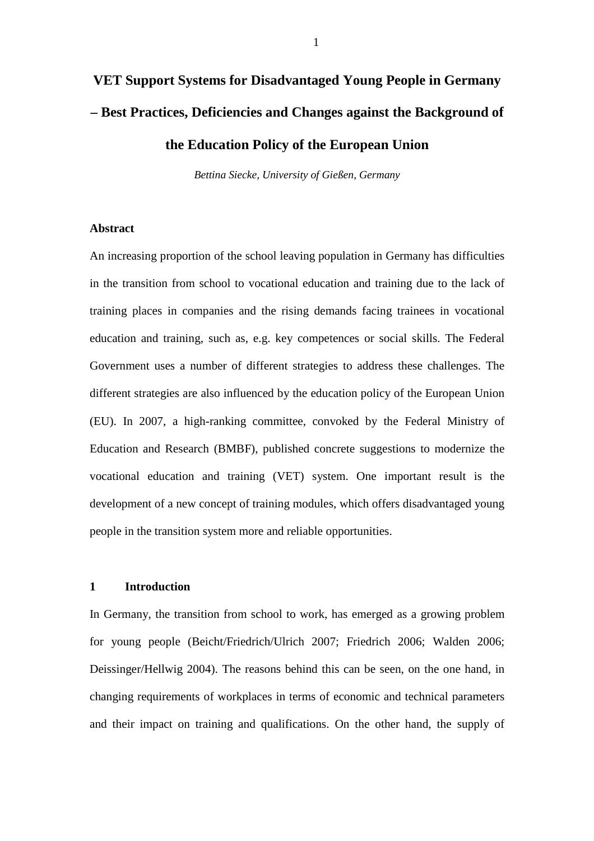# **VET Support Systems for Disadvantaged Young People in Germany – Best Practices, Deficiencies and Changes against the Background of the Education Policy of the European Union**

*Bettina Siecke, University of Gießen, Germany*

# **Abstract**

An increasing proportion of the school leaving population in Germany has difficulties in the transition from school to vocational education and training due to the lack of training places in companies and the rising demands facing trainees in vocational education and training, such as, e.g. key competences or social skills. The Federal Government uses a number of different strategies to address these challenges. The different strategies are also influenced by the education policy of the European Union (EU). In 2007, a high-ranking committee, convoked by the Federal Ministry of Education and Research (BMBF), published concrete suggestions to modernize the vocational education and training (VET) system. One important result is the development of a new concept of training modules, which offers disadvantaged young people in the transition system more and reliable opportunities.

# **1 Introduction**

In Germany, the transition from school to work, has emerged as a growing problem for young people (Beicht/Friedrich/Ulrich 2007; Friedrich 2006; Walden 2006; Deissinger/Hellwig 2004). The reasons behind this can be seen, on the one hand, in changing requirements of workplaces in terms of economic and technical parameters and their impact on training and qualifications. On the other hand, the supply of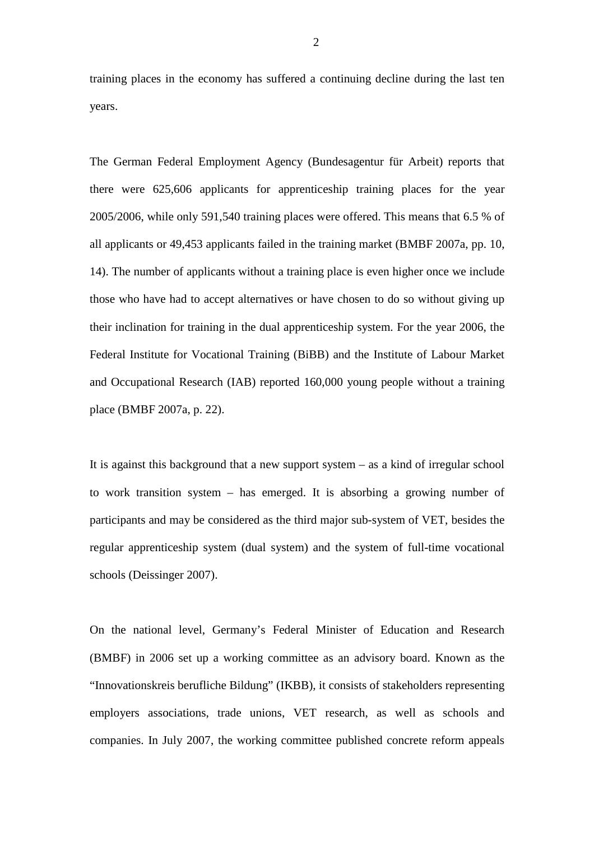training places in the economy has suffered a continuing decline during the last ten years.

The German Federal Employment Agency (Bundesagentur für Arbeit) reports that there were 625,606 applicants for apprenticeship training places for the year 2005/2006, while only 591,540 training places were offered. This means that 6.5 % of all applicants or 49,453 applicants failed in the training market (BMBF 2007a, pp. 10, 14). The number of applicants without a training place is even higher once we include those who have had to accept alternatives or have chosen to do so without giving up their inclination for training in the dual apprenticeship system. For the year 2006, the Federal Institute for Vocational Training (BiBB) and the Institute of Labour Market and Occupational Research (IAB) reported 160,000 young people without a training place (BMBF 2007a, p. 22).

It is against this background that a new support system – as a kind of irregular school to work transition system – has emerged. It is absorbing a growing number of participants and may be considered as the third major sub-system of VET, besides the regular apprenticeship system (dual system) and the system of full-time vocational schools (Deissinger 2007).

On the national level, Germany's Federal Minister of Education and Research (BMBF) in 2006 set up a working committee as an advisory board. Known as the "Innovationskreis berufliche Bildung" (IKBB), it consists of stakeholders representing employers associations, trade unions, VET research, as well as schools and companies. In July 2007, the working committee published concrete reform appeals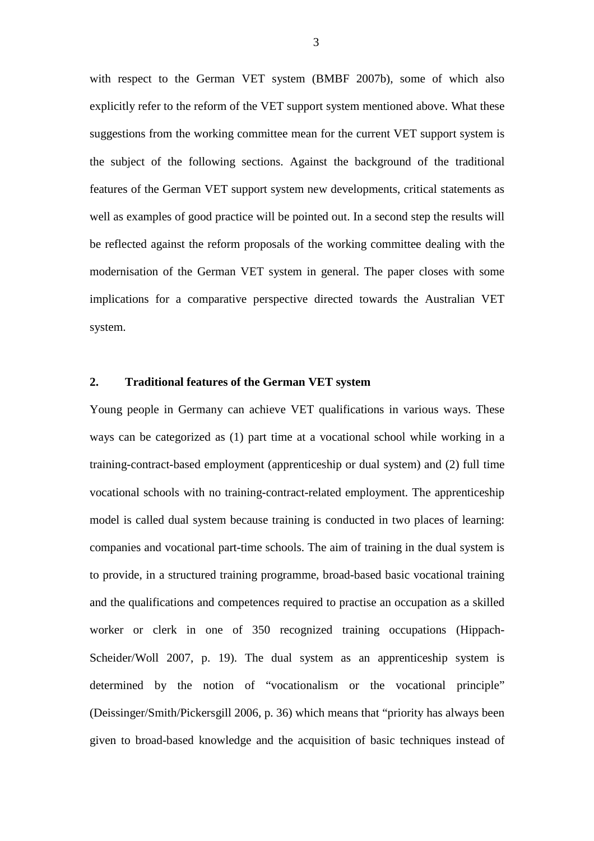with respect to the German VET system (BMBF 2007b), some of which also explicitly refer to the reform of the VET support system mentioned above. What these suggestions from the working committee mean for the current VET support system is the subject of the following sections. Against the background of the traditional features of the German VET support system new developments, critical statements as well as examples of good practice will be pointed out. In a second step the results will be reflected against the reform proposals of the working committee dealing with the modernisation of the German VET system in general. The paper closes with some implications for a comparative perspective directed towards the Australian VET system.

# **2. Traditional features of the German VET system**

Young people in Germany can achieve VET qualifications in various ways. These ways can be categorized as (1) part time at a vocational school while working in a training-contract-based employment (apprenticeship or dual system) and (2) full time vocational schools with no training-contract-related employment. The apprenticeship model is called dual system because training is conducted in two places of learning: companies and vocational part-time schools. The aim of training in the dual system is to provide, in a structured training programme, broad-based basic vocational training and the qualifications and competences required to practise an occupation as a skilled worker or clerk in one of 350 recognized training occupations (Hippach-Scheider/Woll 2007, p. 19). The dual system as an apprenticeship system is determined by the notion of "vocationalism or the vocational principle" (Deissinger/Smith/Pickersgill 2006, p. 36) which means that "priority has always been given to broad-based knowledge and the acquisition of basic techniques instead of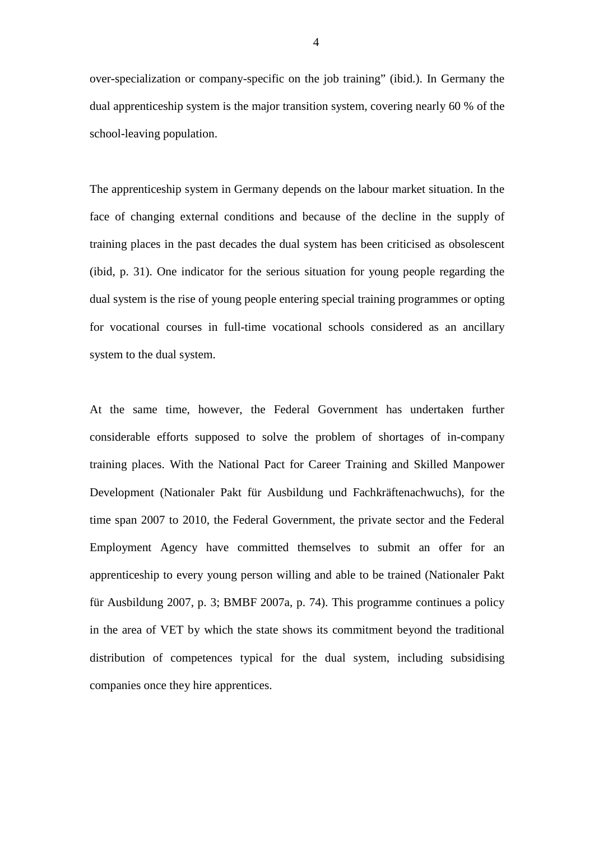over-specialization or company-specific on the job training" (ibid.). In Germany the dual apprenticeship system is the major transition system, covering nearly 60 % of the school-leaving population.

The apprenticeship system in Germany depends on the labour market situation. In the face of changing external conditions and because of the decline in the supply of training places in the past decades the dual system has been criticised as obsolescent (ibid, p. 31). One indicator for the serious situation for young people regarding the dual system is the rise of young people entering special training programmes or opting for vocational courses in full-time vocational schools considered as an ancillary system to the dual system.

At the same time, however, the Federal Government has undertaken further considerable efforts supposed to solve the problem of shortages of in-company training places. With the National Pact for Career Training and Skilled Manpower Development (Nationaler Pakt für Ausbildung und Fachkräftenachwuchs), for the time span 2007 to 2010, the Federal Government, the private sector and the Federal Employment Agency have committed themselves to submit an offer for an apprenticeship to every young person willing and able to be trained (Nationaler Pakt für Ausbildung 2007, p. 3; BMBF 2007a, p. 74). This programme continues a policy in the area of VET by which the state shows its commitment beyond the traditional distribution of competences typical for the dual system, including subsidising companies once they hire apprentices.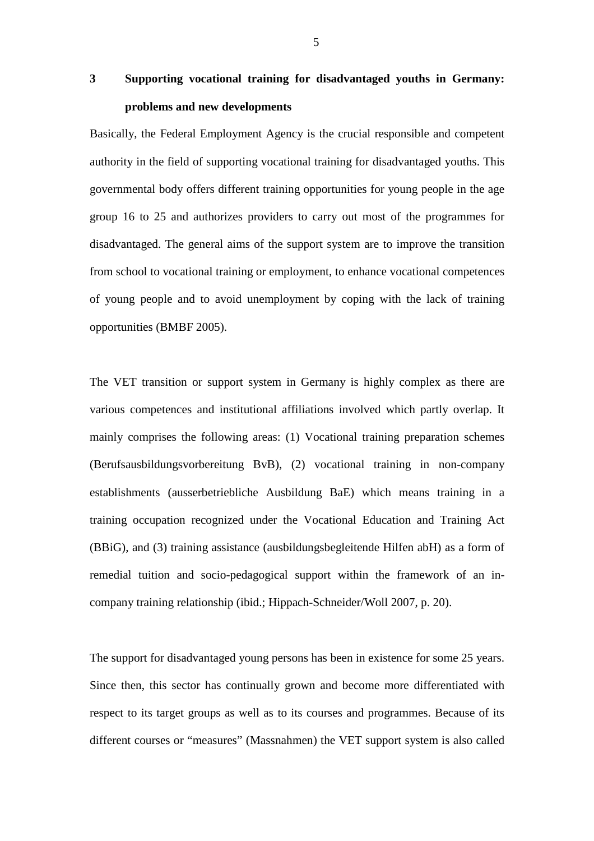# **3 Supporting vocational training for disadvantaged youths in Germany: problems and new developments**

Basically, the Federal Employment Agency is the crucial responsible and competent authority in the field of supporting vocational training for disadvantaged youths. This governmental body offers different training opportunities for young people in the age group 16 to 25 and authorizes providers to carry out most of the programmes for disadvantaged. The general aims of the support system are to improve the transition from school to vocational training or employment, to enhance vocational competences of young people and to avoid unemployment by coping with the lack of training opportunities (BMBF 2005).

The VET transition or support system in Germany is highly complex as there are various competences and institutional affiliations involved which partly overlap. It mainly comprises the following areas: (1) Vocational training preparation schemes (Berufsausbildungsvorbereitung BvB), (2) vocational training in non-company establishments (ausserbetriebliche Ausbildung BaE) which means training in a training occupation recognized under the Vocational Education and Training Act (BBiG), and (3) training assistance (ausbildungsbegleitende Hilfen abH) as a form of remedial tuition and socio-pedagogical support within the framework of an incompany training relationship (ibid.; Hippach-Schneider/Woll 2007, p. 20).

The support for disadvantaged young persons has been in existence for some 25 years. Since then, this sector has continually grown and become more differentiated with respect to its target groups as well as to its courses and programmes. Because of its different courses or "measures" (Massnahmen) the VET support system is also called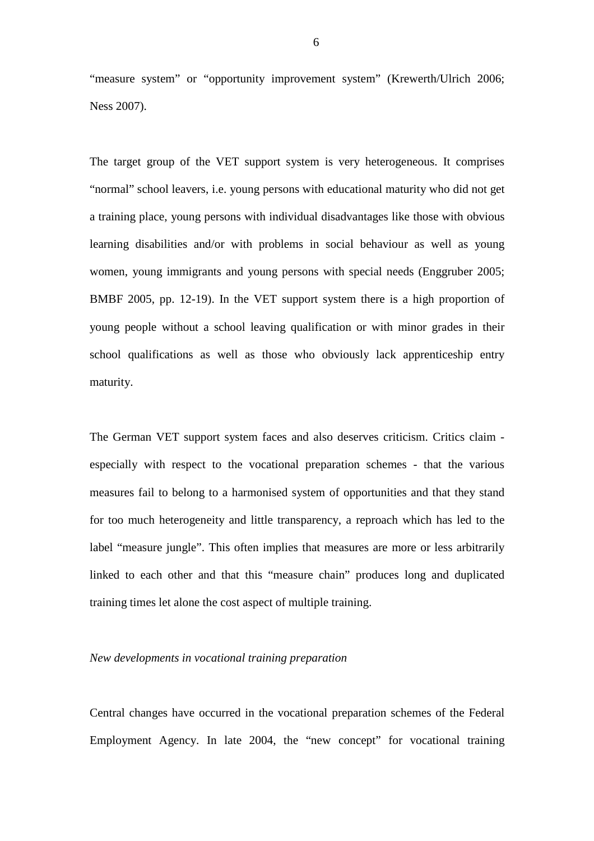"measure system" or "opportunity improvement system" (Krewerth/Ulrich 2006; Ness 2007).

The target group of the VET support system is very heterogeneous. It comprises "normal" school leavers, i.e. young persons with educational maturity who did not get a training place, young persons with individual disadvantages like those with obvious learning disabilities and/or with problems in social behaviour as well as young women, young immigrants and young persons with special needs (Enggruber 2005; BMBF 2005, pp. 12-19). In the VET support system there is a high proportion of young people without a school leaving qualification or with minor grades in their school qualifications as well as those who obviously lack apprenticeship entry maturity.

The German VET support system faces and also deserves criticism. Critics claim especially with respect to the vocational preparation schemes - that the various measures fail to belong to a harmonised system of opportunities and that they stand for too much heterogeneity and little transparency, a reproach which has led to the label "measure jungle". This often implies that measures are more or less arbitrarily linked to each other and that this "measure chain" produces long and duplicated training times let alone the cost aspect of multiple training.

#### *New developments in vocational training preparation*

Central changes have occurred in the vocational preparation schemes of the Federal Employment Agency. In late 2004, the "new concept" for vocational training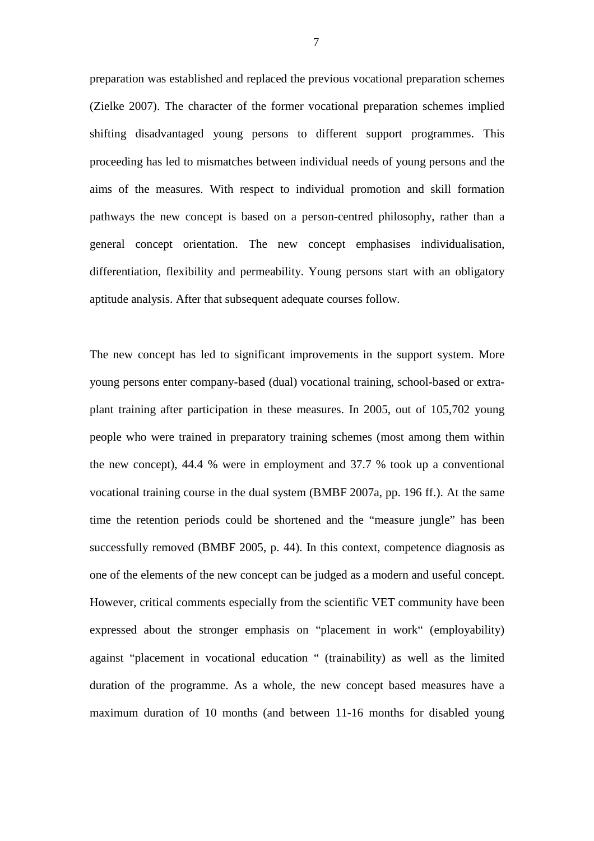preparation was established and replaced the previous vocational preparation schemes (Zielke 2007). The character of the former vocational preparation schemes implied shifting disadvantaged young persons to different support programmes. This proceeding has led to mismatches between individual needs of young persons and the aims of the measures. With respect to individual promotion and skill formation pathways the new concept is based on a person-centred philosophy, rather than a general concept orientation. The new concept emphasises individualisation, differentiation, flexibility and permeability. Young persons start with an obligatory aptitude analysis. After that subsequent adequate courses follow.

The new concept has led to significant improvements in the support system. More young persons enter company-based (dual) vocational training, school-based or extraplant training after participation in these measures. In 2005, out of 105,702 young people who were trained in preparatory training schemes (most among them within the new concept), 44.4 % were in employment and 37.7 % took up a conventional vocational training course in the dual system (BMBF 2007a, pp. 196 ff.). At the same time the retention periods could be shortened and the "measure jungle" has been successfully removed (BMBF 2005, p. 44). In this context, competence diagnosis as one of the elements of the new concept can be judged as a modern and useful concept. However, critical comments especially from the scientific VET community have been expressed about the stronger emphasis on "placement in work" (employability) against "placement in vocational education " (trainability) as well as the limited duration of the programme. As a whole, the new concept based measures have a maximum duration of 10 months (and between 11-16 months for disabled young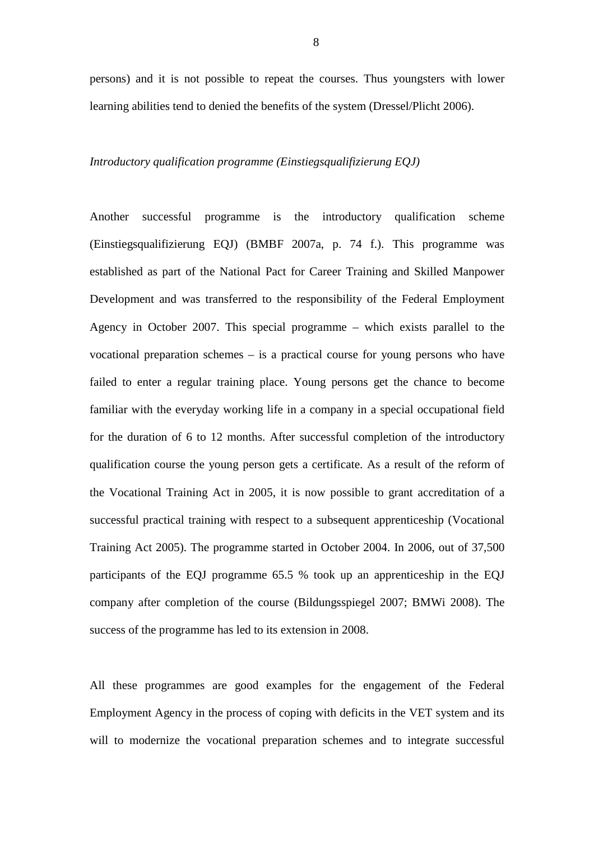persons) and it is not possible to repeat the courses. Thus youngsters with lower learning abilities tend to denied the benefits of the system (Dressel/Plicht 2006).

#### *Introductory qualification programme (Einstiegsqualifizierung EQJ)*

Another successful programme is the introductory qualification scheme (Einstiegsqualifizierung EQJ) (BMBF 2007a, p. 74 f.). This programme was established as part of the National Pact for Career Training and Skilled Manpower Development and was transferred to the responsibility of the Federal Employment Agency in October 2007. This special programme – which exists parallel to the vocational preparation schemes – is a practical course for young persons who have failed to enter a regular training place. Young persons get the chance to become familiar with the everyday working life in a company in a special occupational field for the duration of 6 to 12 months. After successful completion of the introductory qualification course the young person gets a certificate. As a result of the reform of the Vocational Training Act in 2005, it is now possible to grant accreditation of a successful practical training with respect to a subsequent apprenticeship (Vocational Training Act 2005). The programme started in October 2004. In 2006, out of 37,500 participants of the EQJ programme 65.5 % took up an apprenticeship in the EQJ company after completion of the course (Bildungsspiegel 2007; BMWi 2008). The success of the programme has led to its extension in 2008.

All these programmes are good examples for the engagement of the Federal Employment Agency in the process of coping with deficits in the VET system and its will to modernize the vocational preparation schemes and to integrate successful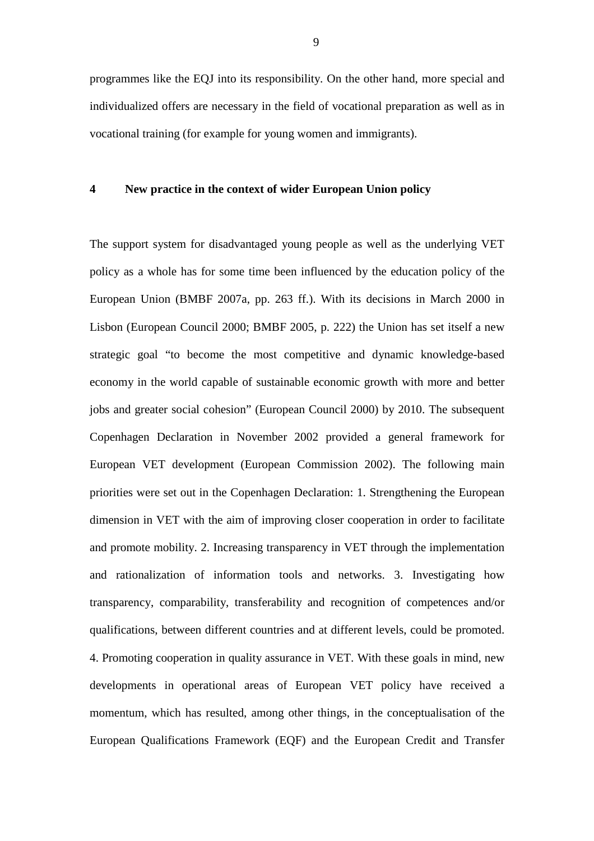programmes like the EQJ into its responsibility. On the other hand, more special and individualized offers are necessary in the field of vocational preparation as well as in vocational training (for example for young women and immigrants).

#### **4 New practice in the context of wider European Union policy**

The support system for disadvantaged young people as well as the underlying VET policy as a whole has for some time been influenced by the education policy of the European Union (BMBF 2007a, pp. 263 ff.). With its decisions in March 2000 in Lisbon (European Council 2000; BMBF 2005, p. 222) the Union has set itself a new strategic goal "to become the most competitive and dynamic knowledge-based economy in the world capable of sustainable economic growth with more and better jobs and greater social cohesion" (European Council 2000) by 2010. The subsequent Copenhagen Declaration in November 2002 provided a general framework for European VET development (European Commission 2002). The following main priorities were set out in the Copenhagen Declaration: 1. Strengthening the European dimension in VET with the aim of improving closer cooperation in order to facilitate and promote mobility. 2. Increasing transparency in VET through the implementation and rationalization of information tools and networks. 3. Investigating how transparency, comparability, transferability and recognition of competences and/or qualifications, between different countries and at different levels, could be promoted. 4. Promoting cooperation in quality assurance in VET. With these goals in mind, new developments in operational areas of European VET policy have received a momentum, which has resulted, among other things, in the conceptualisation of the European Qualifications Framework (EQF) and the European Credit and Transfer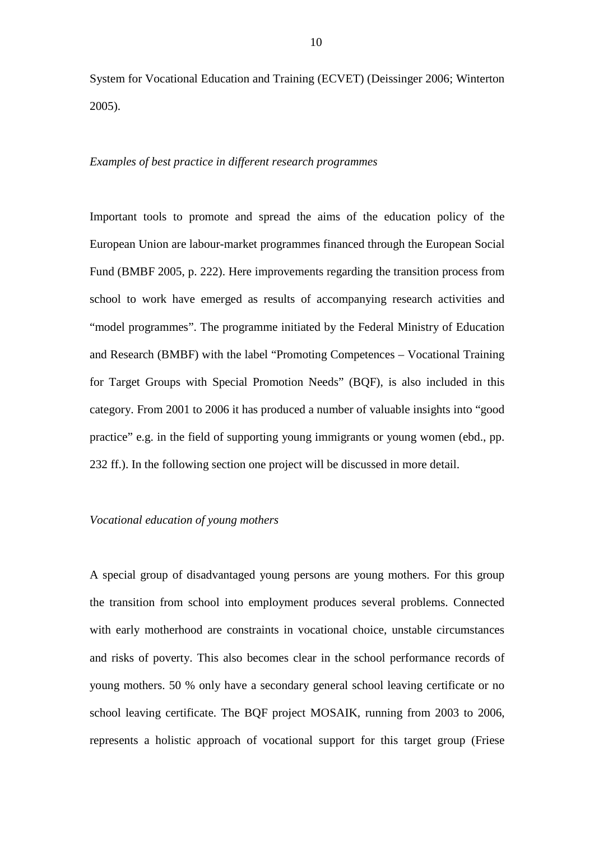System for Vocational Education and Training (ECVET) (Deissinger 2006; Winterton 2005).

#### *Examples of best practice in different research programmes*

Important tools to promote and spread the aims of the education policy of the European Union are labour-market programmes financed through the European Social Fund (BMBF 2005, p. 222). Here improvements regarding the transition process from school to work have emerged as results of accompanying research activities and "model programmes". The programme initiated by the Federal Ministry of Education and Research (BMBF) with the label "Promoting Competences – Vocational Training for Target Groups with Special Promotion Needs" (BQF), is also included in this category. From 2001 to 2006 it has produced a number of valuable insights into "good practice" e.g. in the field of supporting young immigrants or young women (ebd., pp. 232 ff.). In the following section one project will be discussed in more detail.

# *Vocational education of young mothers*

A special group of disadvantaged young persons are young mothers. For this group the transition from school into employment produces several problems. Connected with early motherhood are constraints in vocational choice, unstable circumstances and risks of poverty. This also becomes clear in the school performance records of young mothers. 50 % only have a secondary general school leaving certificate or no school leaving certificate. The BQF project MOSAIK, running from 2003 to 2006, represents a holistic approach of vocational support for this target group (Friese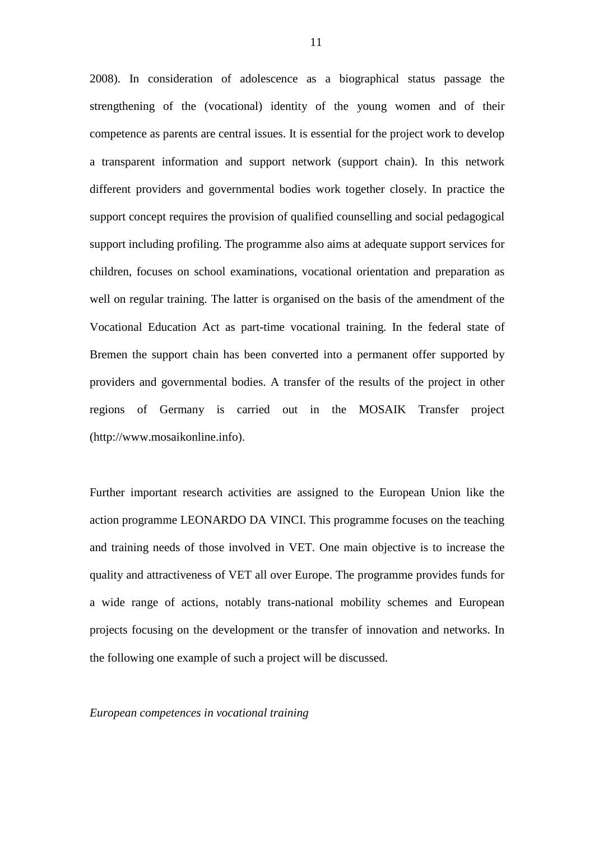2008). In consideration of adolescence as a biographical status passage the strengthening of the (vocational) identity of the young women and of their competence as parents are central issues. It is essential for the project work to develop a transparent information and support network (support chain). In this network different providers and governmental bodies work together closely. In practice the support concept requires the provision of qualified counselling and social pedagogical support including profiling. The programme also aims at adequate support services for children, focuses on school examinations, vocational orientation and preparation as well on regular training. The latter is organised on the basis of the amendment of the Vocational Education Act as part-time vocational training. In the federal state of Bremen the support chain has been converted into a permanent offer supported by providers and governmental bodies. A transfer of the results of the project in other regions of Germany is carried out in the MOSAIK Transfer project (http://www.mosaikonline.info).

Further important research activities are assigned to the European Union like the action programme LEONARDO DA VINCI. This programme focuses on the teaching and training needs of those involved in VET. One main objective is to increase the quality and attractiveness of VET all over Europe. The programme provides funds for a wide range of actions, notably trans-national mobility schemes and European projects focusing on the development or the transfer of innovation and networks. In the following one example of such a project will be discussed.

*European competences in vocational training* 

11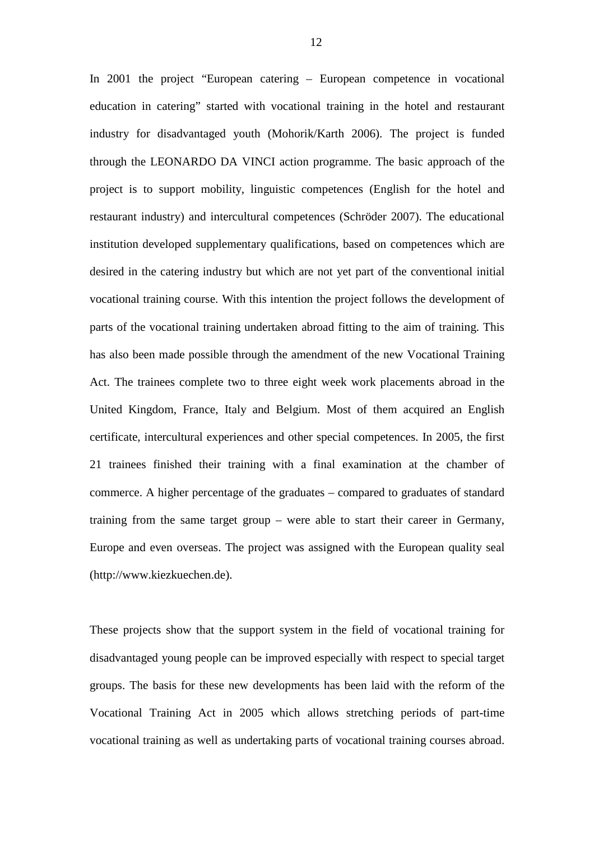In 2001 the project "European catering – European competence in vocational education in catering" started with vocational training in the hotel and restaurant industry for disadvantaged youth (Mohorik/Karth 2006). The project is funded through the LEONARDO DA VINCI action programme. The basic approach of the project is to support mobility, linguistic competences (English for the hotel and restaurant industry) and intercultural competences (Schröder 2007). The educational institution developed supplementary qualifications, based on competences which are desired in the catering industry but which are not yet part of the conventional initial vocational training course. With this intention the project follows the development of parts of the vocational training undertaken abroad fitting to the aim of training. This has also been made possible through the amendment of the new Vocational Training Act. The trainees complete two to three eight week work placements abroad in the United Kingdom, France, Italy and Belgium. Most of them acquired an English certificate, intercultural experiences and other special competences. In 2005, the first 21 trainees finished their training with a final examination at the chamber of commerce. A higher percentage of the graduates – compared to graduates of standard training from the same target group – were able to start their career in Germany, Europe and even overseas. The project was assigned with the European quality seal (http://www.kiezkuechen.de).

These projects show that the support system in the field of vocational training for disadvantaged young people can be improved especially with respect to special target groups. The basis for these new developments has been laid with the reform of the Vocational Training Act in 2005 which allows stretching periods of part-time vocational training as well as undertaking parts of vocational training courses abroad.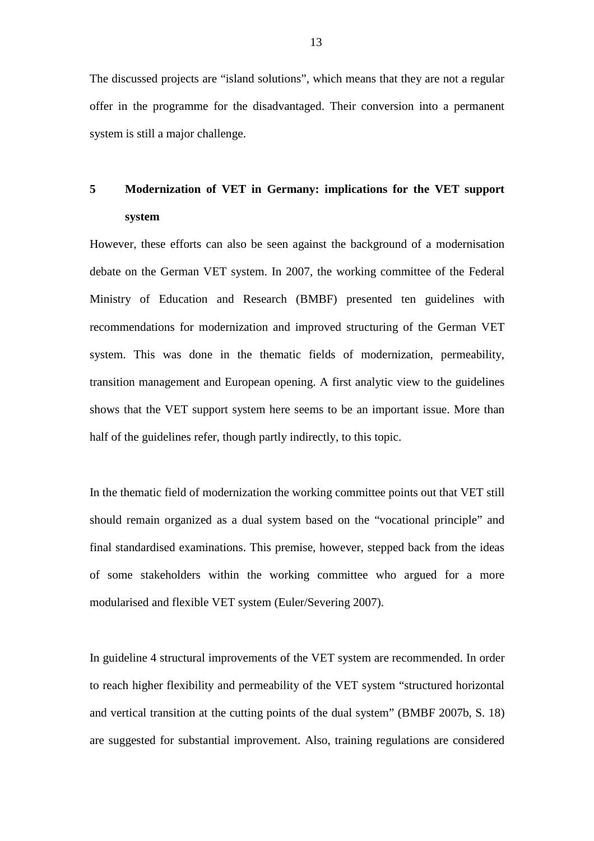The discussed projects are "island solutions", which means that they are not a regular offer in the programme for the disadvantaged. Their conversion into a permanent system is still a major challenge.

# **5 Modernization of VET in Germany: implications for the VET support system**

However, these efforts can also be seen against the background of a modernisation debate on the German VET system. In 2007, the working committee of the Federal Ministry of Education and Research (BMBF) presented ten guidelines with recommendations for modernization and improved structuring of the German VET system. This was done in the thematic fields of modernization, permeability, transition management and European opening. A first analytic view to the guidelines shows that the VET support system here seems to be an important issue. More than half of the guidelines refer, though partly indirectly, to this topic.

In the thematic field of modernization the working committee points out that VET still should remain organized as a dual system based on the "vocational principle" and final standardised examinations. This premise, however, stepped back from the ideas of some stakeholders within the working committee who argued for a more modularised and flexible VET system (Euler/Severing 2007).

In guideline 4 structural improvements of the VET system are recommended. In order to reach higher flexibility and permeability of the VET system "structured horizontal and vertical transition at the cutting points of the dual system" (BMBF 2007b, S. 18) are suggested for substantial improvement. Also, training regulations are considered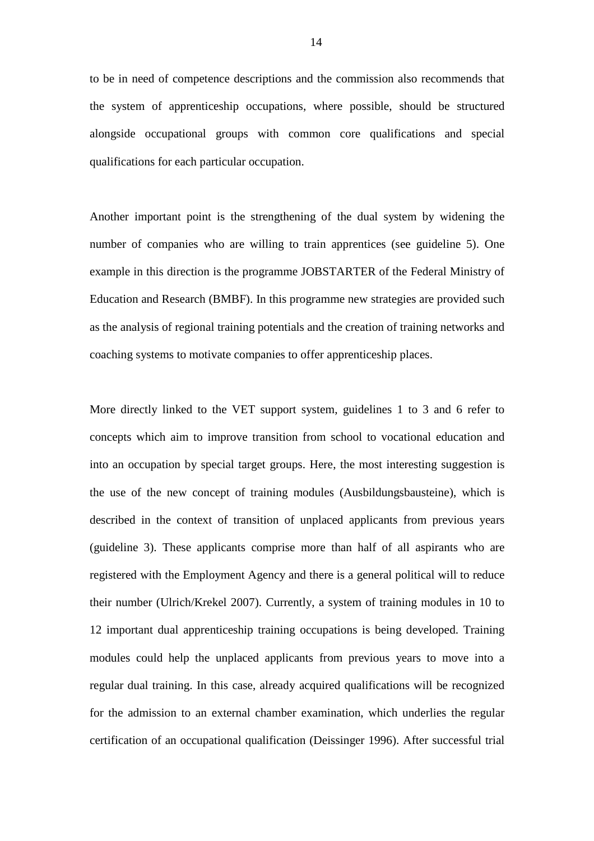to be in need of competence descriptions and the commission also recommends that the system of apprenticeship occupations, where possible, should be structured alongside occupational groups with common core qualifications and special qualifications for each particular occupation.

Another important point is the strengthening of the dual system by widening the number of companies who are willing to train apprentices (see guideline 5). One example in this direction is the programme JOBSTARTER of the Federal Ministry of Education and Research (BMBF). In this programme new strategies are provided such as the analysis of regional training potentials and the creation of training networks and coaching systems to motivate companies to offer apprenticeship places.

More directly linked to the VET support system, guidelines 1 to 3 and 6 refer to concepts which aim to improve transition from school to vocational education and into an occupation by special target groups. Here, the most interesting suggestion is the use of the new concept of training modules (Ausbildungsbausteine), which is described in the context of transition of unplaced applicants from previous years (guideline 3). These applicants comprise more than half of all aspirants who are registered with the Employment Agency and there is a general political will to reduce their number (Ulrich/Krekel 2007). Currently, a system of training modules in 10 to 12 important dual apprenticeship training occupations is being developed. Training modules could help the unplaced applicants from previous years to move into a regular dual training. In this case, already acquired qualifications will be recognized for the admission to an external chamber examination, which underlies the regular certification of an occupational qualification (Deissinger 1996). After successful trial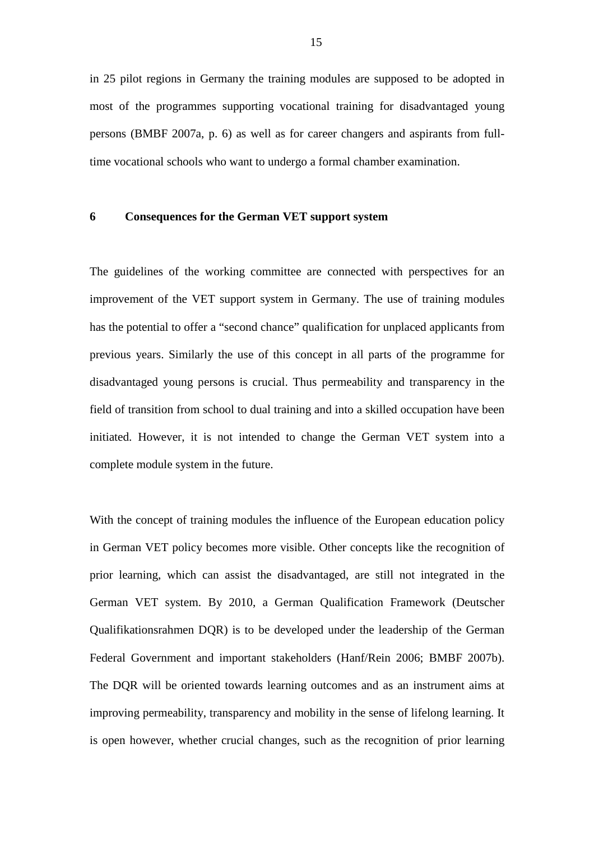in 25 pilot regions in Germany the training modules are supposed to be adopted in most of the programmes supporting vocational training for disadvantaged young persons (BMBF 2007a, p. 6) as well as for career changers and aspirants from fulltime vocational schools who want to undergo a formal chamber examination.

# **6 Consequences for the German VET support system**

The guidelines of the working committee are connected with perspectives for an improvement of the VET support system in Germany. The use of training modules has the potential to offer a "second chance" qualification for unplaced applicants from previous years. Similarly the use of this concept in all parts of the programme for disadvantaged young persons is crucial. Thus permeability and transparency in the field of transition from school to dual training and into a skilled occupation have been initiated. However, it is not intended to change the German VET system into a complete module system in the future.

With the concept of training modules the influence of the European education policy in German VET policy becomes more visible. Other concepts like the recognition of prior learning, which can assist the disadvantaged, are still not integrated in the German VET system. By 2010, a German Qualification Framework (Deutscher Qualifikationsrahmen DQR) is to be developed under the leadership of the German Federal Government and important stakeholders (Hanf/Rein 2006; BMBF 2007b). The DQR will be oriented towards learning outcomes and as an instrument aims at improving permeability, transparency and mobility in the sense of lifelong learning. It is open however, whether crucial changes, such as the recognition of prior learning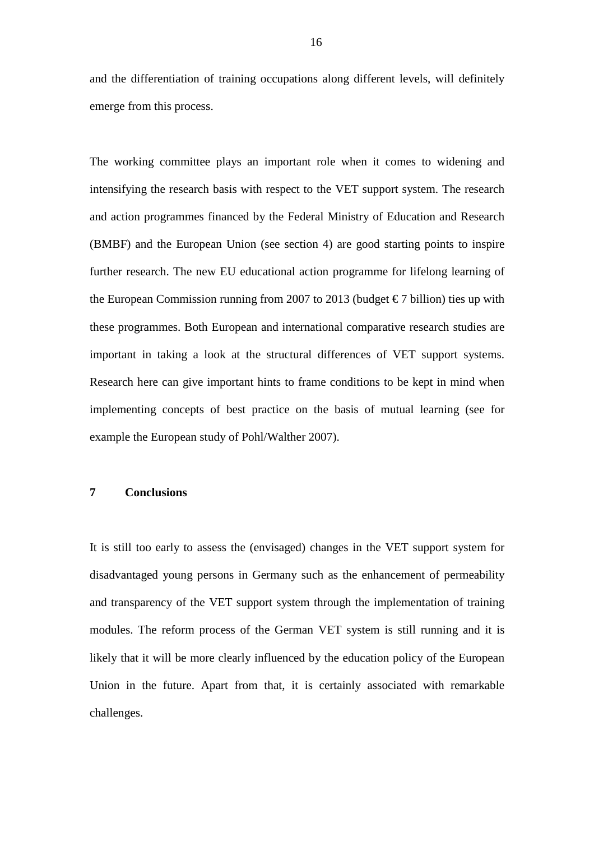and the differentiation of training occupations along different levels, will definitely emerge from this process.

The working committee plays an important role when it comes to widening and intensifying the research basis with respect to the VET support system. The research and action programmes financed by the Federal Ministry of Education and Research (BMBF) and the European Union (see section 4) are good starting points to inspire further research. The new EU educational action programme for lifelong learning of the European Commission running from 2007 to 2013 (budget  $\epsilon$  7 billion) ties up with these programmes. Both European and international comparative research studies are important in taking a look at the structural differences of VET support systems. Research here can give important hints to frame conditions to be kept in mind when implementing concepts of best practice on the basis of mutual learning (see for example the European study of Pohl/Walther 2007).

# **7 Conclusions**

It is still too early to assess the (envisaged) changes in the VET support system for disadvantaged young persons in Germany such as the enhancement of permeability and transparency of the VET support system through the implementation of training modules. The reform process of the German VET system is still running and it is likely that it will be more clearly influenced by the education policy of the European Union in the future. Apart from that, it is certainly associated with remarkable challenges.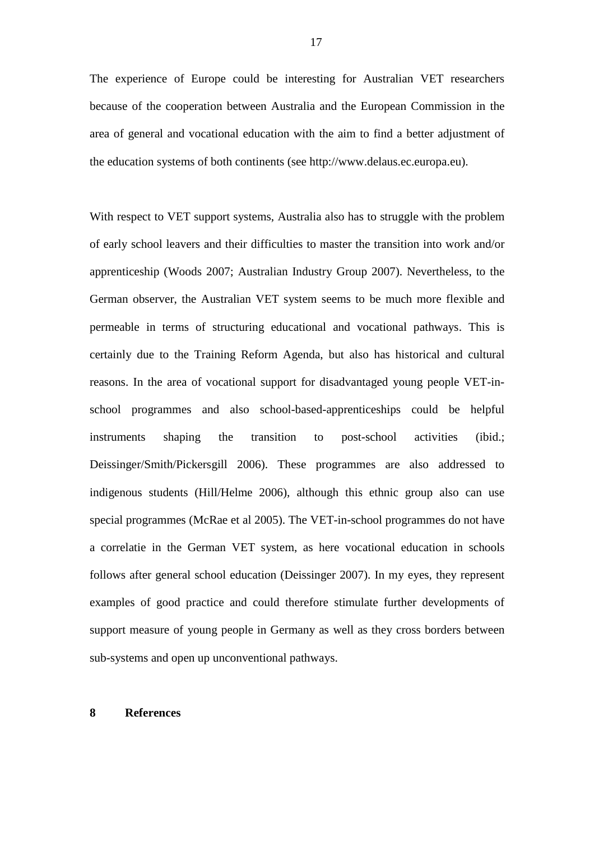The experience of Europe could be interesting for Australian VET researchers because of the cooperation between Australia and the European Commission in the area of general and vocational education with the aim to find a better adjustment of the education systems of both continents (see http://www.delaus.ec.europa.eu).

With respect to VET support systems, Australia also has to struggle with the problem of early school leavers and their difficulties to master the transition into work and/or apprenticeship (Woods 2007; Australian Industry Group 2007). Nevertheless, to the German observer, the Australian VET system seems to be much more flexible and permeable in terms of structuring educational and vocational pathways. This is certainly due to the Training Reform Agenda, but also has historical and cultural reasons. In the area of vocational support for disadvantaged young people VET-inschool programmes and also school-based-apprenticeships could be helpful instruments shaping the transition to post-school activities (ibid.; Deissinger/Smith/Pickersgill 2006). These programmes are also addressed to indigenous students (Hill/Helme 2006), although this ethnic group also can use special programmes (McRae et al 2005). The VET-in-school programmes do not have a correlatie in the German VET system, as here vocational education in schools follows after general school education (Deissinger 2007). In my eyes, they represent examples of good practice and could therefore stimulate further developments of support measure of young people in Germany as well as they cross borders between sub-systems and open up unconventional pathways.

#### **8 References**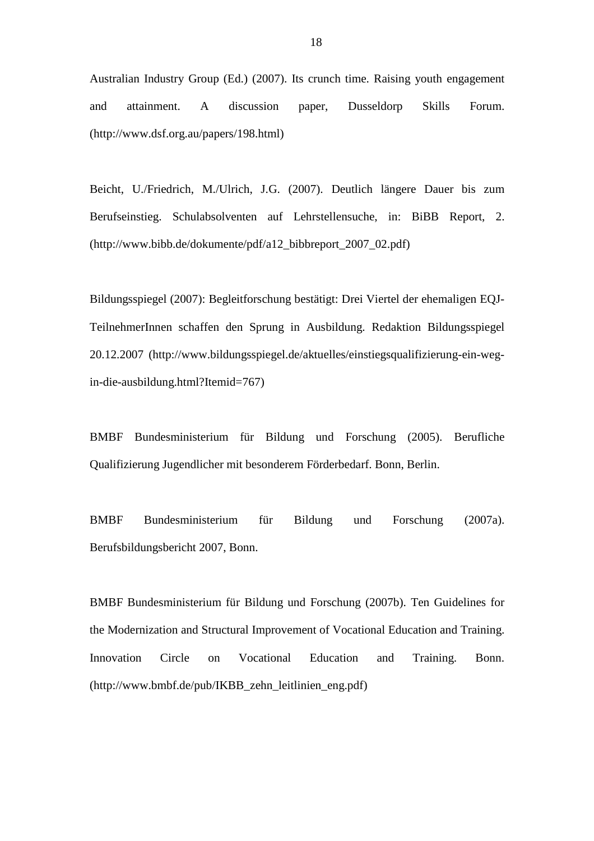Australian Industry Group (Ed.) (2007). Its crunch time. Raising youth engagement and attainment. A discussion paper, Dusseldorp Skills Forum. (http://www.dsf.org.au/papers/198.html)

Beicht, U./Friedrich, M./Ulrich, J.G. (2007). Deutlich längere Dauer bis zum Berufseinstieg. Schulabsolventen auf Lehrstellensuche, in: BiBB Report, 2. (http://www.bibb.de/dokumente/pdf/a12\_bibbreport\_2007\_02.pdf)

Bildungsspiegel (2007): Begleitforschung bestätigt: Drei Viertel der ehemaligen EQJ-TeilnehmerInnen schaffen den Sprung in Ausbildung. Redaktion Bildungsspiegel 20.12.2007 (http://www.bildungsspiegel.de/aktuelles/einstiegsqualifizierung-ein-wegin-die-ausbildung.html?Itemid=767)

BMBF Bundesministerium für Bildung und Forschung (2005). Berufliche Qualifizierung Jugendlicher mit besonderem Förderbedarf. Bonn, Berlin.

BMBF Bundesministerium für Bildung und Forschung (2007a). Berufsbildungsbericht 2007, Bonn.

BMBF Bundesministerium für Bildung und Forschung (2007b). Ten Guidelines for the Modernization and Structural Improvement of Vocational Education and Training. Innovation Circle on Vocational Education and Training. Bonn. (http://www.bmbf.de/pub/IKBB\_zehn\_leitlinien\_eng.pdf)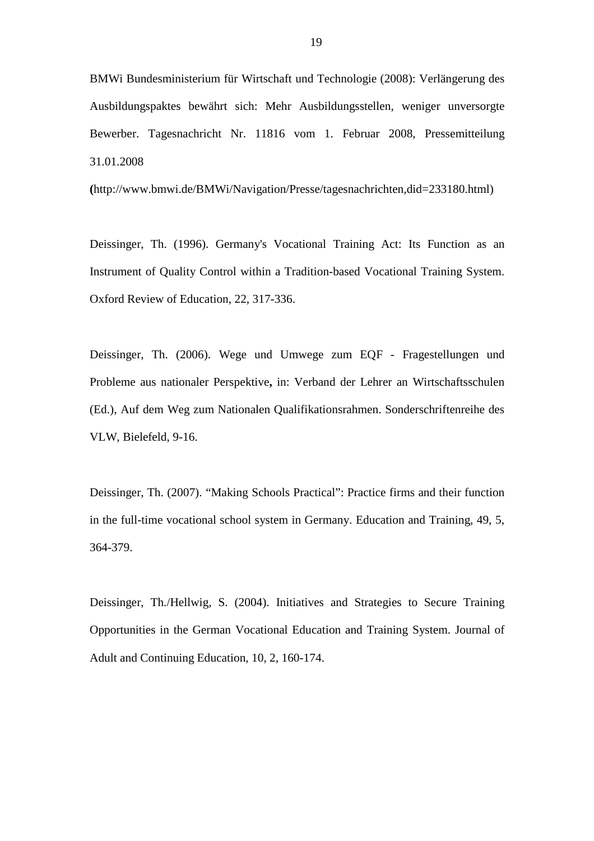BMWi Bundesministerium für Wirtschaft und Technologie (2008): Verlängerung des Ausbildungspaktes bewährt sich: Mehr Ausbildungsstellen, weniger unversorgte Bewerber. Tagesnachricht Nr. 11816 vom 1. Februar 2008, Pressemitteilung 31.01.2008

**(**http://www.bmwi.de/BMWi/Navigation/Presse/tagesnachrichten,did=233180.html)

Deissinger, Th. (1996). Germany's Vocational Training Act: Its Function as an Instrument of Quality Control within a Tradition-based Vocational Training System. Oxford Review of Education, 22, 317-336.

Deissinger, Th. (2006). Wege und Umwege zum EQF - Fragestellungen und Probleme aus nationaler Perspektive**,** in: Verband der Lehrer an Wirtschaftsschulen (Ed.), Auf dem Weg zum Nationalen Qualifikationsrahmen. Sonderschriftenreihe des VLW, Bielefeld, 9-16.

Deissinger, Th. (2007). "Making Schools Practical": Practice firms and their function in the full-time vocational school system in Germany. Education and Training, 49, 5, 364-379.

Deissinger, Th./Hellwig, S. (2004). Initiatives and Strategies to Secure Training Opportunities in the German Vocational Education and Training System. Journal of Adult and Continuing Education, 10, 2, 160-174.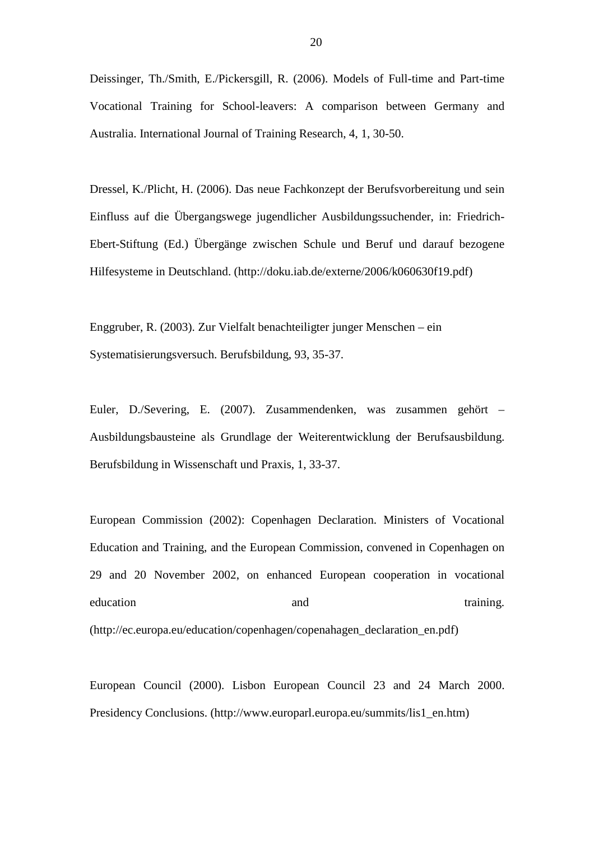Deissinger, Th./Smith, E./Pickersgill, R. (2006). Models of Full-time and Part-time Vocational Training for School-leavers: A comparison between Germany and Australia. International Journal of Training Research, 4, 1, 30-50.

Dressel, K./Plicht, H. (2006). Das neue Fachkonzept der Berufsvorbereitung und sein Einfluss auf die Übergangswege jugendlicher Ausbildungssuchender, in: Friedrich-Ebert-Stiftung (Ed.) Übergänge zwischen Schule und Beruf und darauf bezogene Hilfesysteme in Deutschland. (http://doku.iab.de/externe/2006/k060630f19.pdf)

Enggruber, R. (2003). Zur Vielfalt benachteiligter junger Menschen – ein Systematisierungsversuch. Berufsbildung, 93, 35-37.

Euler, D./Severing, E. (2007). Zusammendenken, was zusammen gehört – Ausbildungsbausteine als Grundlage der Weiterentwicklung der Berufsausbildung. Berufsbildung in Wissenschaft und Praxis, 1, 33-37.

European Commission (2002): Copenhagen Declaration. Ministers of Vocational Education and Training, and the European Commission, convened in Copenhagen on 29 and 20 November 2002, on enhanced European cooperation in vocational education and and training. (http://ec.europa.eu/education/copenhagen/copenahagen\_declaration\_en.pdf)

European Council (2000). Lisbon European Council 23 and 24 March 2000. Presidency Conclusions. (http://www.europarl.europa.eu/summits/lis1\_en.htm)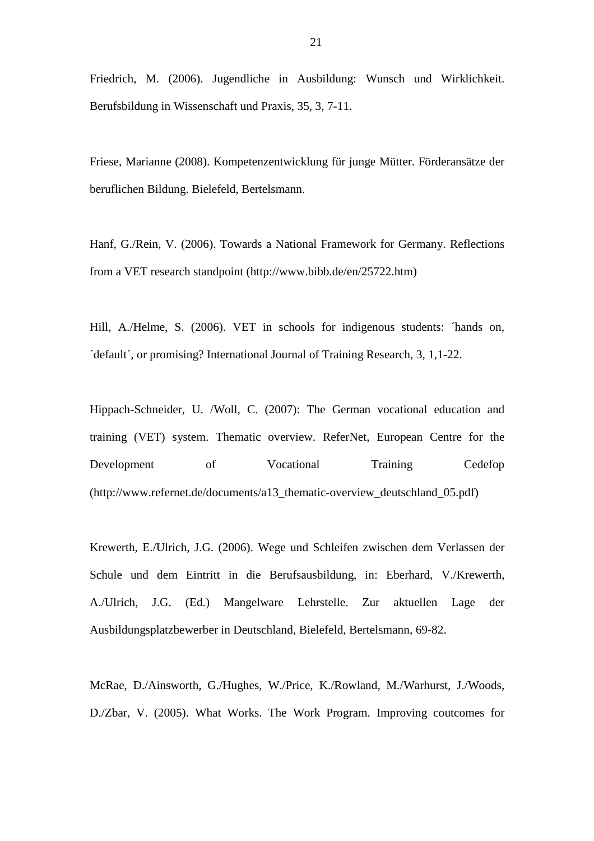Friedrich, M. (2006). Jugendliche in Ausbildung: Wunsch und Wirklichkeit. Berufsbildung in Wissenschaft und Praxis, 35, 3, 7-11.

Friese, Marianne (2008). Kompetenzentwicklung für junge Mütter. Förderansätze der beruflichen Bildung. Bielefeld, Bertelsmann.

Hanf, G./Rein, V. (2006). Towards a National Framework for Germany. Reflections from a VET research standpoint (http://www.bibb.de/en/25722.htm)

Hill, A./Helme, S. (2006). VET in schools for indigenous students: 'hands on, ´default´, or promising? International Journal of Training Research, 3, 1,1-22.

Hippach-Schneider, U. /Woll, C. (2007): The German vocational education and training (VET) system. Thematic overview. ReferNet, European Centre for the Development of Vocational Training Cedefop (http://www.refernet.de/documents/a13\_thematic-overview\_deutschland\_05.pdf)

Krewerth, E./Ulrich, J.G. (2006). Wege und Schleifen zwischen dem Verlassen der Schule und dem Eintritt in die Berufsausbildung, in: Eberhard, V./Krewerth, A./Ulrich, J.G. (Ed.) Mangelware Lehrstelle. Zur aktuellen Lage der Ausbildungsplatzbewerber in Deutschland, Bielefeld, Bertelsmann, 69-82.

McRae, D./Ainsworth, G./Hughes, W./Price, K./Rowland, M./Warhurst, J./Woods, D./Zbar, V. (2005). What Works. The Work Program. Improving coutcomes for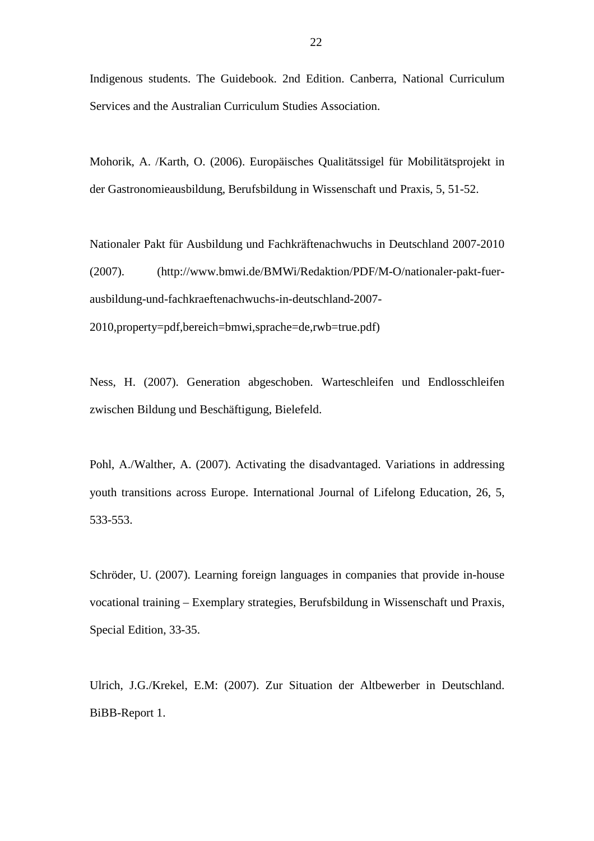Indigenous students. The Guidebook. 2nd Edition. Canberra, National Curriculum Services and the Australian Curriculum Studies Association.

Mohorik, A. /Karth, O. (2006). Europäisches Qualitätssigel für Mobilitätsprojekt in der Gastronomieausbildung, Berufsbildung in Wissenschaft und Praxis, 5, 51-52.

Nationaler Pakt für Ausbildung und Fachkräftenachwuchs in Deutschland 2007-2010 (2007). (http://www.bmwi.de/BMWi/Redaktion/PDF/M-O/nationaler-pakt-fuerausbildung-und-fachkraeftenachwuchs-in-deutschland-2007- 2010,property=pdf,bereich=bmwi,sprache=de,rwb=true.pdf)

Ness, H. (2007). Generation abgeschoben. Warteschleifen und Endlosschleifen zwischen Bildung und Beschäftigung, Bielefeld.

Pohl, A./Walther, A. (2007). Activating the disadvantaged. Variations in addressing youth transitions across Europe. International Journal of Lifelong Education, 26, 5, 533-553.

Schröder, U. (2007). Learning foreign languages in companies that provide in-house vocational training – Exemplary strategies, Berufsbildung in Wissenschaft und Praxis, Special Edition, 33-35.

Ulrich, J.G./Krekel, E.M: (2007). Zur Situation der Altbewerber in Deutschland. BiBB-Report 1.